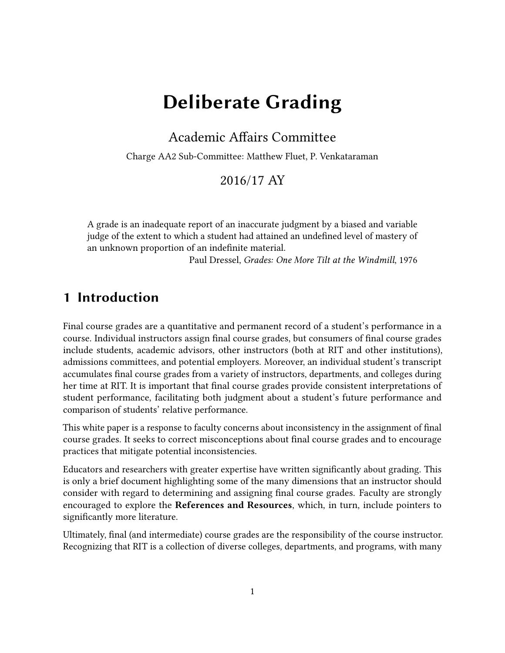# Deliberate Grading

#### Academic Affairs Committee

Charge AA2 Sub-Committee: Matthew Fluet, P. Venkataraman

#### 2016/17 AY

A grade is an inadequate report of an inaccurate judgment by a biased and variable judge of the extent to which a student had attained an undefined level of mastery of an unknown proportion of an indefinite material.

Paul Dressel, Grades: One More Tilt at the Windmill, 1976

### 1 Introduction

Final course grades are a quantitative and permanent record of a student's performance in a course. Individual instructors assign final course grades, but consumers of final course grades include students, academic advisors, other instructors (both at RIT and other institutions), admissions committees, and potential employers. Moreover, an individual student's transcript accumulates final course grades from a variety of instructors, departments, and colleges during her time at RIT. It is important that final course grades provide consistent interpretations of student performance, facilitating both judgment about a student's future performance and comparison of students' relative performance.

This white paper is a response to faculty concerns about inconsistency in the assignment of final course grades. It seeks to correct misconceptions about final course grades and to encourage practices that mitigate potential inconsistencies.

Educators and researchers with greater expertise have written significantly about grading. This is only a brief document highlighting some of the many dimensions that an instructor should consider with regard to determining and assigning final course grades. Faculty are strongly encouraged to explore the References and Resources, which, in turn, include pointers to significantly more literature.

Ultimately, final (and intermediate) course grades are the responsibility of the course instructor. Recognizing that RIT is a collection of diverse colleges, departments, and programs, with many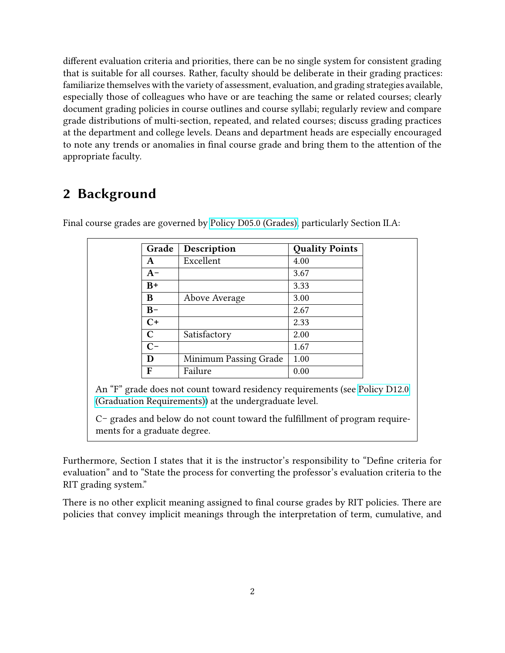different evaluation criteria and priorities, there can be no single system for consistent grading that is suitable for all courses. Rather, faculty should be deliberate in their grading practices: familiarize themselves with the variety of assessment, evaluation, and grading strategies available, especially those of colleagues who have or are teaching the same or related courses; clearly document grading policies in course outlines and course syllabi; regularly review and compare grade distributions of multi-section, repeated, and related courses; discuss grading practices at the department and college levels. Deans and department heads are especially encouraged to note any trends or anomalies in final course grade and bring them to the attention of the appropriate faculty.

# 2 Background

| Grade       | Description           | <b>Quality Points</b> |
|-------------|-----------------------|-----------------------|
| A           | Excellent             | 4.00                  |
| $A-$        |                       | 3.67                  |
| $B+$        |                       | 3.33                  |
| B           | Above Average         | 3.00                  |
| $B -$       |                       | 2.67                  |
| $C+$        |                       | 2.33                  |
| $\mathbf C$ | Satisfactory          | 2.00                  |
| $C-$        |                       | 1.67                  |
| D           | Minimum Passing Grade | 1.00                  |
| F           | Failure               | 0.00                  |

Final course grades are governed by [Policy D05.0 \(Grades\),](https://www.rit.edu/academicaffairs/policiesmanual/d050) particularly Section II.A:

An "F" grade does not count toward residency requirements (see [Policy D12.0](https://www.rit.edu/academicaffairs/policiesmanual/d120) [\(Graduation Requirements\)\)](https://www.rit.edu/academicaffairs/policiesmanual/d120) at the undergraduate level.

C− grades and below do not count toward the fulllment of program requirements for a graduate degree.

Furthermore, Section I states that it is the instructor's responsibility to "Define criteria for evaluation" and to "State the process for converting the professor's evaluation criteria to the RIT grading system."

There is no other explicit meaning assigned to final course grades by RIT policies. There are policies that convey implicit meanings through the interpretation of term, cumulative, and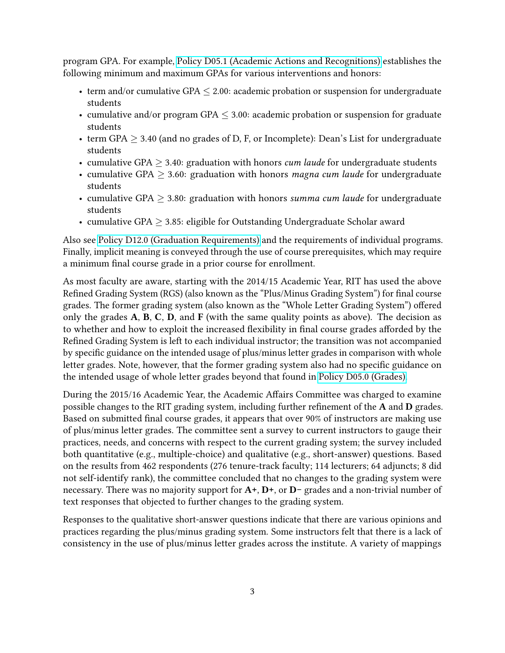program GPA. For example, [Policy D05.1 \(Academic Actions and Recognitions\)](https://www.rit.edu/academicaffairs/policiesmanual/d051) establishes the following minimum and maximum GPAs for various interventions and honors:

- term and/or cumulative GPA  $\leq$  2.00: academic probation or suspension for undergraduate students
- cumulative and/or program GPA  $\leq$  3.00: academic probation or suspension for graduate students
- term GPA  $\geq$  3.40 (and no grades of D, F, or Incomplete): Dean's List for undergraduate students
- cumulative GPA  $\geq$  3.40: graduation with honors *cum laude* for undergraduate students
- cumulative GPA  $\geq$  3.60: graduation with honors *magna cum laude* for undergraduate students
- cumulative GPA  $> 3.80$ : graduation with honors summa cum laude for undergraduate students
- cumulative GPA  $\geq$  3.85: eligible for Outstanding Undergraduate Scholar award

Also see [Policy D12.0 \(Graduation Requirements\)](https://www.rit.edu/academicaffairs/policiesmanual/d120) and the requirements of individual programs. Finally, implicit meaning is conveyed through the use of course prerequisites, which may require a minimum final course grade in a prior course for enrollment.

As most faculty are aware, starting with the 2014/15 Academic Year, RIT has used the above Refined Grading System (RGS) (also known as the "Plus/Minus Grading System") for final course grades. The former grading system (also known as the "Whole Letter Grading System") offered only the grades  $A$ ,  $B$ ,  $C$ ,  $D$ , and  $F$  (with the same quality points as above). The decision as to whether and how to exploit the increased flexibility in final course grades afforded by the Refined Grading System is left to each individual instructor; the transition was not accompanied by specific guidance on the intended usage of plus/minus letter grades in comparison with whole letter grades. Note, however, that the former grading system also had no specific guidance on the intended usage of whole letter grades beyond that found in [Policy D05.0 \(Grades\).](https://www.rit.edu/academicaffairs/policiesmanual/d050)

During the 2015/16 Academic Year, the Academic Affairs Committee was charged to examine possible changes to the RIT grading system, including further refinement of the  $A$  and  $D$  grades. Based on submitted final course grades, it appears that over 90% of instructors are making use of plus/minus letter grades. The committee sent a survey to current instructors to gauge their practices, needs, and concerns with respect to the current grading system; the survey included both quantitative (e.g., multiple-choice) and qualitative (e.g., short-answer) questions. Based on the results from 462 respondents (276 tenure-track faculty; 114 lecturers; 64 adjuncts; 8 did not self-identify rank), the committee concluded that no changes to the grading system were necessary. There was no majority support for A+, D+, or D− grades and a non-trivial number of text responses that objected to further changes to the grading system.

Responses to the qualitative short-answer questions indicate that there are various opinions and practices regarding the plus/minus grading system. Some instructors felt that there is a lack of consistency in the use of plus/minus letter grades across the institute. A variety of mappings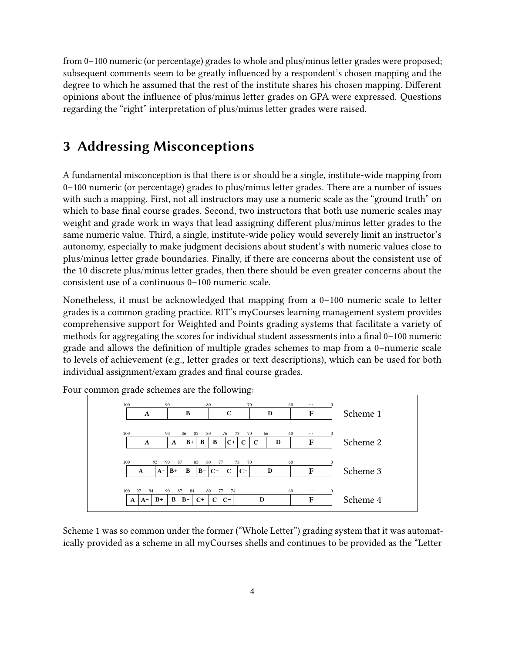from 0–100 numeric (or percentage) grades to whole and plus/minus letter grades were proposed; subsequent comments seem to be greatly influenced by a respondent's chosen mapping and the degree to which he assumed that the rest of the institute shares his chosen mapping. Different opinions about the influence of plus/minus letter grades on GPA were expressed. Questions regarding the "right" interpretation of plus/minus letter grades were raised.

## 3 Addressing Misconceptions

A fundamental misconception is that there is or should be a single, institute-wide mapping from 0–100 numeric (or percentage) grades to plus/minus letter grades. There are a number of issues with such a mapping. First, not all instructors may use a numeric scale as the "ground truth" on which to base final course grades. Second, two instructors that both use numeric scales may weight and grade work in ways that lead assigning different plus/minus letter grades to the same numeric value. Third, a single, institute-wide policy would severely limit an instructor's autonomy, especially to make judgment decisions about student's with numeric values close to plus/minus letter grade boundaries. Finally, if there are concerns about the consistent use of the 10 discrete plus/minus letter grades, then there should be even greater concerns about the consistent use of a continuous 0–100 numeric scale.

Nonetheless, it must be acknowledged that mapping from a 0–100 numeric scale to letter grades is a common grading practice. RIT's myCourses learning management system provides comprehensive support for Weighted and Points grading systems that facilitate a variety of methods for aggregating the scores for individual student assessments into a final  $0-100$  numeric grade and allows the definition of multiple grades schemes to map from a 0-numeric scale to levels of achievement (e.g., letter grades or text descriptions), which can be used for both individual assignment/exam grades and final course grades.



Four common grade schemes are the following:

Scheme 1 was so common under the former ("Whole Letter") grading system that it was automatically provided as a scheme in all myCourses shells and continues to be provided as the "Letter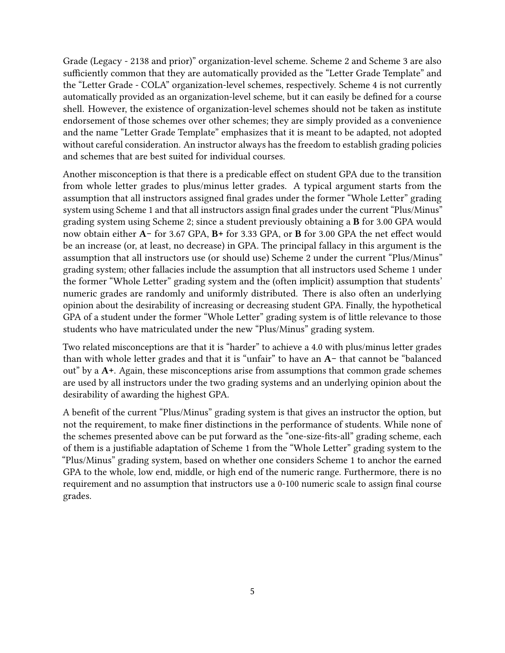Grade (Legacy - 2138 and prior)" organization-level scheme. Scheme 2 and Scheme 3 are also sufficiently common that they are automatically provided as the "Letter Grade Template" and the "Letter Grade - COLA" organization-level schemes, respectively. Scheme 4 is not currently automatically provided as an organization-level scheme, but it can easily be defined for a course shell. However, the existence of organization-level schemes should not be taken as institute endorsement of those schemes over other schemes; they are simply provided as a convenience and the name "Letter Grade Template" emphasizes that it is meant to be adapted, not adopted without careful consideration. An instructor always has the freedom to establish grading policies and schemes that are best suited for individual courses.

Another misconception is that there is a predicable effect on student GPA due to the transition from whole letter grades to plus/minus letter grades. A typical argument starts from the assumption that all instructors assigned final grades under the former "Whole Letter" grading system using Scheme 1 and that all instructors assign final grades under the current "Plus/Minus" grading system using Scheme 2; since a student previously obtaining a B for 3.00 GPA would now obtain either A- for 3.67 GPA, B+ for 3.33 GPA, or **B** for 3.00 GPA the net effect would be an increase (or, at least, no decrease) in GPA. The principal fallacy in this argument is the assumption that all instructors use (or should use) Scheme 2 under the current "Plus/Minus" grading system; other fallacies include the assumption that all instructors used Scheme 1 under the former "Whole Letter" grading system and the (often implicit) assumption that students' numeric grades are randomly and uniformly distributed. There is also often an underlying opinion about the desirability of increasing or decreasing student GPA. Finally, the hypothetical GPA of a student under the former "Whole Letter" grading system is of little relevance to those students who have matriculated under the new "Plus/Minus" grading system.

Two related misconceptions are that it is "harder" to achieve a 4.0 with plus/minus letter grades than with whole letter grades and that it is "unfair" to have an A− that cannot be "balanced out" by a A+. Again, these misconceptions arise from assumptions that common grade schemes are used by all instructors under the two grading systems and an underlying opinion about the desirability of awarding the highest GPA.

A benefit of the current "Plus/Minus" grading system is that gives an instructor the option, but not the requirement, to make finer distinctions in the performance of students. While none of the schemes presented above can be put forward as the "one-size-fits-all" grading scheme, each of them is a justiable adaptation of Scheme 1 from the "Whole Letter" grading system to the "Plus/Minus" grading system, based on whether one considers Scheme 1 to anchor the earned GPA to the whole, low end, middle, or high end of the numeric range. Furthermore, there is no requirement and no assumption that instructors use a 0-100 numeric scale to assign final course grades.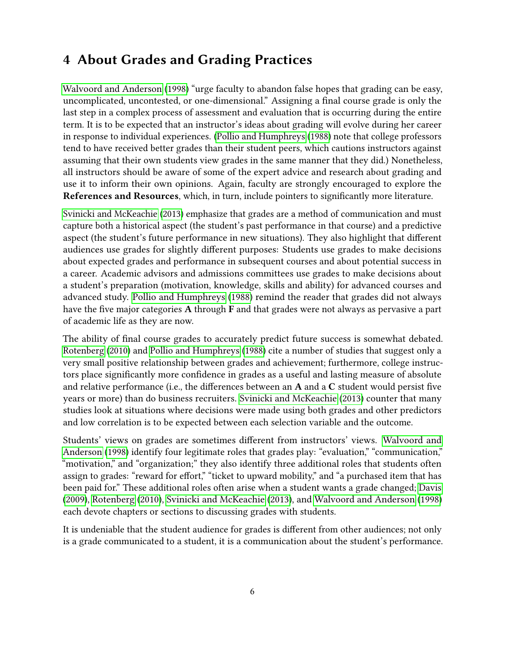# 4 About Grades and Grading Practices

[Walvoord and Anderson](#page-10-0) [\(1998\)](#page-10-0) "urge faculty to abandon false hopes that grading can be easy, uncomplicated, uncontested, or one-dimensional." Assigning a final course grade is only the last step in a complex process of assessment and evaluation that is occurring during the entire term. It is to be expected that an instructor's ideas about grading will evolve during her career in response to individual experiences. [\(Pollio and Humphreys](#page-10-1) [\(1988\)](#page-10-1) note that college professors tend to have received better grades than their student peers, which cautions instructors against assuming that their own students view grades in the same manner that they did.) Nonetheless, all instructors should be aware of some of the expert advice and research about grading and use it to inform their own opinions. Again, faculty are strongly encouraged to explore the References and Resources, which, in turn, include pointers to significantly more literature.

[Svinicki and McKeachie](#page-10-2) [\(2013\)](#page-10-2) emphasize that grades are a method of communication and must capture both a historical aspect (the student's past performance in that course) and a predictive aspect (the student's future performance in new situations). They also highlight that different audiences use grades for slightly different purposes: Students use grades to make decisions about expected grades and performance in subsequent courses and about potential success in a career. Academic advisors and admissions committees use grades to make decisions about a student's preparation (motivation, knowledge, skills and ability) for advanced courses and advanced study. [Pollio and Humphreys](#page-10-1) [\(1988\)](#page-10-1) remind the reader that grades did not always have the five major categories  $A$  through  $F$  and that grades were not always as pervasive a part of academic life as they are now.

The ability of final course grades to accurately predict future success is somewhat debated. [Rotenberg](#page-10-3) [\(2010\)](#page-10-3) and [Pollio and Humphreys](#page-10-1) [\(1988\)](#page-10-1) cite a number of studies that suggest only a very small positive relationship between grades and achievement; furthermore, college instructors place signicantly more condence in grades as a useful and lasting measure of absolute and relative performance (i.e., the differences between an  $A$  and a  $C$  student would persist five years or more) than do business recruiters. [Svinicki and McKeachie](#page-10-2) [\(2013\)](#page-10-2) counter that many studies look at situations where decisions were made using both grades and other predictors and low correlation is to be expected between each selection variable and the outcome.

Students' views on grades are sometimes different from instructors' views. [Walvoord and](#page-10-0) [Anderson](#page-10-0) [\(1998\)](#page-10-0) identify four legitimate roles that grades play: "evaluation," "communication," "motivation," and "organization;" they also identify three additional roles that students often assign to grades: "reward for effort," "ticket to upward mobility," and "a purchased item that has been paid for." These additional roles often arise when a student wants a grade changed; [Davis](#page-10-4) [\(2009\)](#page-10-4), [Rotenberg](#page-10-3) [\(2010\)](#page-10-3), [Svinicki and McKeachie](#page-10-2) [\(2013\)](#page-10-2), and [Walvoord and Anderson](#page-10-0) [\(1998\)](#page-10-0) each devote chapters or sections to discussing grades with students.

It is undeniable that the student audience for grades is different from other audiences; not only is a grade communicated to a student, it is a communication about the student's performance.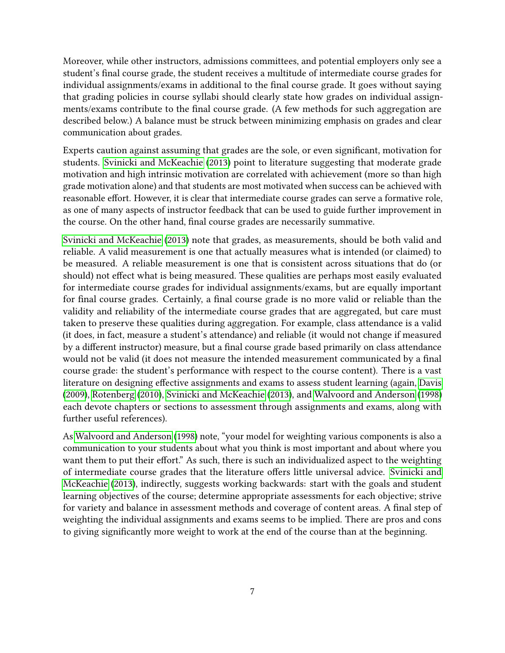Moreover, while other instructors, admissions committees, and potential employers only see a student's final course grade, the student receives a multitude of intermediate course grades for individual assignments/exams in additional to the final course grade. It goes without saying that grading policies in course syllabi should clearly state how grades on individual assignments/exams contribute to the final course grade. (A few methods for such aggregation are described below.) A balance must be struck between minimizing emphasis on grades and clear communication about grades.

Experts caution against assuming that grades are the sole, or even signicant, motivation for students. [Svinicki and McKeachie](#page-10-2) [\(2013\)](#page-10-2) point to literature suggesting that moderate grade motivation and high intrinsic motivation are correlated with achievement (more so than high grade motivation alone) and that students are most motivated when success can be achieved with reasonable effort. However, it is clear that intermediate course grades can serve a formative role, as one of many aspects of instructor feedback that can be used to guide further improvement in the course. On the other hand, final course grades are necessarily summative.

[Svinicki and McKeachie](#page-10-2) [\(2013\)](#page-10-2) note that grades, as measurements, should be both valid and reliable. A valid measurement is one that actually measures what is intended (or claimed) to be measured. A reliable measurement is one that is consistent across situations that do (or should) not effect what is being measured. These qualities are perhaps most easily evaluated for intermediate course grades for individual assignments/exams, but are equally important for final course grades. Certainly, a final course grade is no more valid or reliable than the validity and reliability of the intermediate course grades that are aggregated, but care must taken to preserve these qualities during aggregation. For example, class attendance is a valid (it does, in fact, measure a student's attendance) and reliable (it would not change if measured by a different instructor) measure, but a final course grade based primarily on class attendance would not be valid (it does not measure the intended measurement communicated by a final course grade: the student's performance with respect to the course content). There is a vast literature on designing effective assignments and exams to assess student learning (again, [Davis](#page-10-4) [\(2009\)](#page-10-4), [Rotenberg](#page-10-3) [\(2010\)](#page-10-3), [Svinicki and McKeachie](#page-10-2) [\(2013\)](#page-10-2), and [Walvoord and Anderson](#page-10-0) [\(1998\)](#page-10-0) each devote chapters or sections to assessment through assignments and exams, along with further useful references).

As [Walvoord and Anderson](#page-10-0) [\(1998\)](#page-10-0) note, "your model for weighting various components is also a communication to your students about what you think is most important and about where you want them to put their effort." As such, there is such an individualized aspect to the weighting of intermediate course grades that the literature offers little universal advice. [Svinicki and](#page-10-2) [McKeachie](#page-10-2) [\(2013\)](#page-10-2), indirectly, suggests working backwards: start with the goals and student learning objectives of the course; determine appropriate assessments for each objective; strive for variety and balance in assessment methods and coverage of content areas. A final step of weighting the individual assignments and exams seems to be implied. There are pros and cons to giving signicantly more weight to work at the end of the course than at the beginning.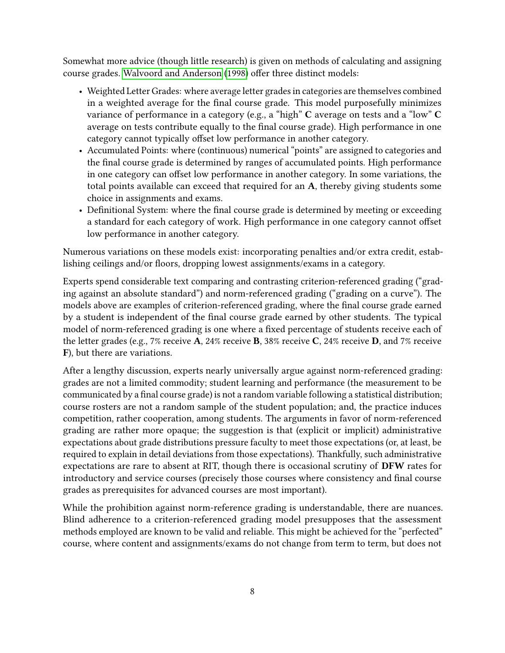Somewhat more advice (though little research) is given on methods of calculating and assigning course grades. [Walvoord and Anderson](#page-10-0) [\(1998\)](#page-10-0) offer three distinct models:

- Weighted Letter Grades: where average letter grades in categories are themselves combined in a weighted average for the final course grade. This model purposefully minimizes variance of performance in a category (e.g., a "high" C average on tests and a "low" C average on tests contribute equally to the final course grade). High performance in one category cannot typically offset low performance in another category.
- Accumulated Points: where (continuous) numerical "points" are assigned to categories and the final course grade is determined by ranges of accumulated points. High performance in one category can offset low performance in another category. In some variations, the total points available can exceed that required for an A, thereby giving students some choice in assignments and exams.
- Definitional System: where the final course grade is determined by meeting or exceeding a standard for each category of work. High performance in one category cannot offset low performance in another category.

Numerous variations on these models exist: incorporating penalties and/or extra credit, establishing ceilings and/or floors, dropping lowest assignments/exams in a category.

Experts spend considerable text comparing and contrasting criterion-referenced grading ("grading against an absolute standard") and norm-referenced grading ("grading on a curve"). The models above are examples of criterion-referenced grading, where the final course grade earned by a student is independent of the final course grade earned by other students. The typical model of norm-referenced grading is one where a fixed percentage of students receive each of the letter grades (e.g., 7% receive A, 24% receive B, 38% receive C, 24% receive D, and 7% receive F), but there are variations.

After a lengthy discussion, experts nearly universally argue against norm-referenced grading: grades are not a limited commodity; student learning and performance (the measurement to be communicated by a final course grade) is not a random variable following a statistical distribution; course rosters are not a random sample of the student population; and, the practice induces competition, rather cooperation, among students. The arguments in favor of norm-referenced grading are rather more opaque; the suggestion is that (explicit or implicit) administrative expectations about grade distributions pressure faculty to meet those expectations (or, at least, be required to explain in detail deviations from those expectations). Thankfully, such administrative expectations are rare to absent at RIT, though there is occasional scrutiny of DFW rates for introductory and service courses (precisely those courses where consistency and final course grades as prerequisites for advanced courses are most important).

While the prohibition against norm-reference grading is understandable, there are nuances. Blind adherence to a criterion-referenced grading model presupposes that the assessment methods employed are known to be valid and reliable. This might be achieved for the "perfected" course, where content and assignments/exams do not change from term to term, but does not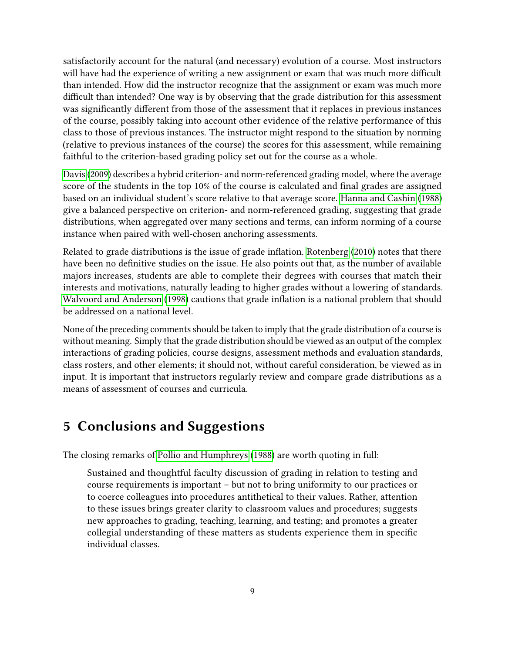satisfactorily account for the natural (and necessary) evolution of a course. Most instructors will have had the experience of writing a new assignment or exam that was much more difficult than intended. How did the instructor recognize that the assignment or exam was much more difficult than intended? One way is by observing that the grade distribution for this assessment was significantly different from those of the assessment that it replaces in previous instances of the course, possibly taking into account other evidence of the relative performance of this class to those of previous instances. The instructor might respond to the situation by norming (relative to previous instances of the course) the scores for this assessment, while remaining faithful to the criterion-based grading policy set out for the course as a whole.

[Davis](#page-10-4) [\(2009\)](#page-10-4) describes a hybrid criterion- and norm-referenced grading model, where the average score of the students in the top 10% of the course is calculated and final grades are assigned based on an individual student's score relative to that average score. [Hanna and Cashin](#page-10-5) [\(1988\)](#page-10-5) give a balanced perspective on criterion- and norm-referenced grading, suggesting that grade distributions, when aggregated over many sections and terms, can inform norming of a course instance when paired with well-chosen anchoring assessments.

Related to grade distributions is the issue of grade inflation. [Rotenberg](#page-10-3)  $(2010)$  notes that there have been no definitive studies on the issue. He also points out that, as the number of available majors increases, students are able to complete their degrees with courses that match their interests and motivations, naturally leading to higher grades without a lowering of standards. [Walvoord and Anderson](#page-10-0) [\(1998\)](#page-10-0) cautions that grade inflation is a national problem that should be addressed on a national level.

None of the preceding comments should be taken to imply that the grade distribution of a course is without meaning. Simply that the grade distribution should be viewed as an output of the complex interactions of grading policies, course designs, assessment methods and evaluation standards, class rosters, and other elements; it should not, without careful consideration, be viewed as in input. It is important that instructors regularly review and compare grade distributions as a means of assessment of courses and curricula.

## 5 Conclusions and Suggestions

The closing remarks of [Pollio and Humphreys](#page-10-1) [\(1988\)](#page-10-1) are worth quoting in full:

Sustained and thoughtful faculty discussion of grading in relation to testing and course requirements is important – but not to bring uniformity to our practices or to coerce colleagues into procedures antithetical to their values. Rather, attention to these issues brings greater clarity to classroom values and procedures; suggests new approaches to grading, teaching, learning, and testing; and promotes a greater collegial understanding of these matters as students experience them in specific individual classes.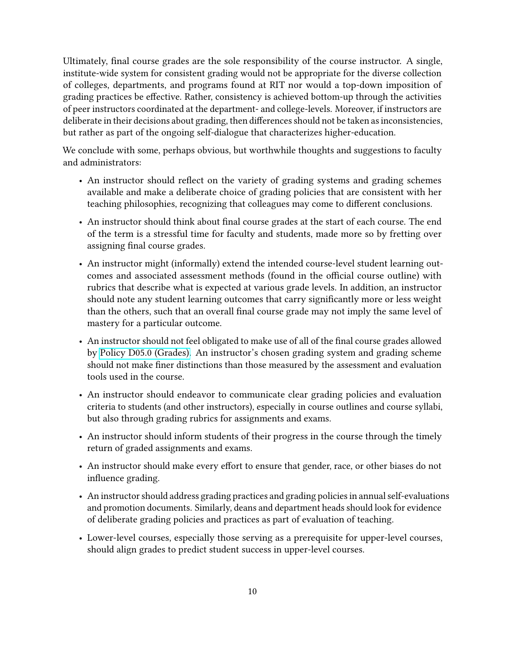Ultimately, final course grades are the sole responsibility of the course instructor. A single, institute-wide system for consistent grading would not be appropriate for the diverse collection of colleges, departments, and programs found at RIT nor would a top-down imposition of grading practices be effective. Rather, consistency is achieved bottom-up through the activities of peer instructors coordinated at the department- and college-levels. Moreover, if instructors are deliberate in their decisions about grading, then differences should not be taken as inconsistencies, but rather as part of the ongoing self-dialogue that characterizes higher-education.

We conclude with some, perhaps obvious, but worthwhile thoughts and suggestions to faculty and administrators:

- An instructor should reflect on the variety of grading systems and grading schemes available and make a deliberate choice of grading policies that are consistent with her teaching philosophies, recognizing that colleagues may come to different conclusions.
- An instructor should think about final course grades at the start of each course. The end of the term is a stressful time for faculty and students, made more so by fretting over assigning final course grades.
- An instructor might (informally) extend the intended course-level student learning outcomes and associated assessment methods (found in the official course outline) with rubrics that describe what is expected at various grade levels. In addition, an instructor should note any student learning outcomes that carry significantly more or less weight than the others, such that an overall final course grade may not imply the same level of mastery for a particular outcome.
- An instructor should not feel obligated to make use of all of the final course grades allowed by [Policy D05.0 \(Grades\).](https://www.rit.edu/academicaffairs/policiesmanual/d050) An instructor's chosen grading system and grading scheme should not make finer distinctions than those measured by the assessment and evaluation tools used in the course.
- An instructor should endeavor to communicate clear grading policies and evaluation criteria to students (and other instructors), especially in course outlines and course syllabi, but also through grading rubrics for assignments and exams.
- An instructor should inform students of their progress in the course through the timely return of graded assignments and exams.
- An instructor should make every effort to ensure that gender, race, or other biases do not influence grading.
- An instructor should address grading practices and grading policies in annual self-evaluations and promotion documents. Similarly, deans and department heads should look for evidence of deliberate grading policies and practices as part of evaluation of teaching.
- Lower-level courses, especially those serving as a prerequisite for upper-level courses, should align grades to predict student success in upper-level courses.